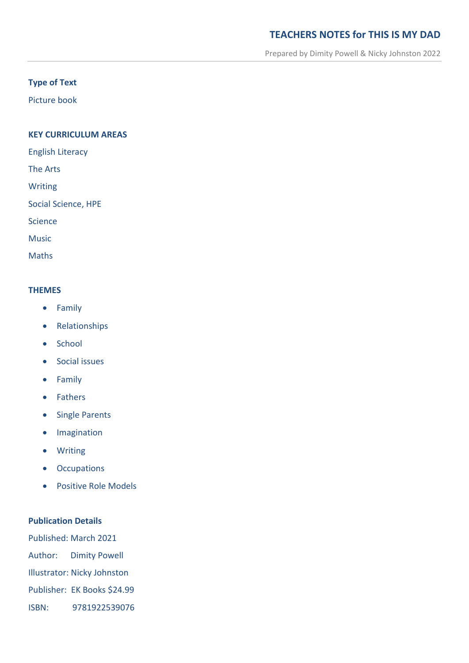# **TEACHERS NOTES for THIS IS MY DAD**

Prepared by Dimity Powell & Nicky Johnston 2022

## **Type of Text**

Picture book

### **KEY CURRICULUM AREAS**

English Literacy

The Arts

Writing

Social Science, HPE

Science

Music

Maths

#### **THEMES**

- **•** Family
- Relationships
- School
- **•** Social issues
- **•** Family
- Fathers
- Single Parents
- **•** Imagination
- Writing
- Occupations
- Positive Role Models

### **Publication Details**

Published: March 2021 Author: Dimity Powell Illustrator: Nicky Johnston Publisher: EK Books \$24.99 ISBN: 9781922539076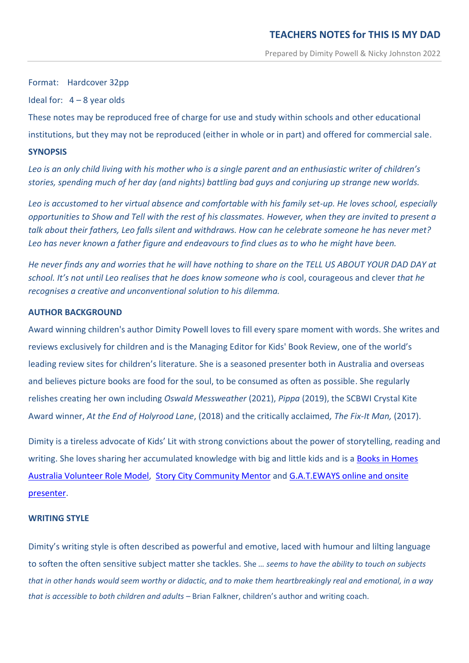Format: Hardcover 32pp

Ideal for:  $4 - 8$  year olds

These notes may be reproduced free of charge for use and study within schools and other educational institutions, but they may not be reproduced (either in whole or in part) and offered for commercial sale. **SYNOPSIS**

*Leo is an only child living with his mother who is a single parent and an enthusiastic writer of children's stories, spending much of her day (and nights) battling bad guys and conjuring up strange new worlds.* 

*Leo is accustomed to her virtual absence and comfortable with his family set-up. He loves school, especially opportunities to Show and Tell with the rest of his classmates. However, when they are invited to present a talk about their fathers, Leo falls silent and withdraws. How can he celebrate someone he has never met? Leo has never known a father figure and endeavours to find clues as to who he might have been.* 

*He never finds any and worries that he will have nothing to share on the TELL US ABOUT YOUR DAD DAY at school. It's not until Leo realises that he does know someone who is* cool, courageous and clever *that he recognises a creative and unconventional solution to his dilemma.*

### **AUTHOR BACKGROUND**

Award winning children's author Dimity Powell loves to fill every spare moment with words. She writes and reviews exclusively for children and is the Managing Editor for Kids' Book Review, one of the world's leading review sites for children's literature. She is a seasoned presenter both in Australia and overseas and believes picture books are food for the soul, to be consumed as often as possible. She regularly relishes creating her own including *Oswald Messweather* (2021), *Pippa* (2019), the SCBWI Crystal Kite Award winner, *At the End of Holyrood Lane*, (2018) and the critically acclaimed*, The Fix-It Man,* (2017).

Dimity is a tireless advocate of Kids' Lit with strong convictions about the power of storytelling, reading and writing. She loves sharing her accumulated knowledge with big and little kids and is a **Books in Homes** [Australia Volunteer Role Model,](file:///E:/ThePowells/Documents/Our%20Documents%20New/Dim) [Story City Community Mentor](https://www.storycity.com.au/stories/story-city-community-mentors/) and [G.A.T.EWAYS online and onsite](https://www.gateways.edu.au/)  [presenter.](https://www.gateways.edu.au/)

### **WRITING STYLE**

Dimity's writing style is often described as powerful and emotive, laced with humour and lilting language to soften the often sensitive subject matter she tackles. She *… seems to have the ability to touch on subjects that in other hands would seem worthy or didactic, and to make them heartbreakingly real and emotional, in a way that is accessible to both children and adults –* Brian Falkner, children's author and writing coach.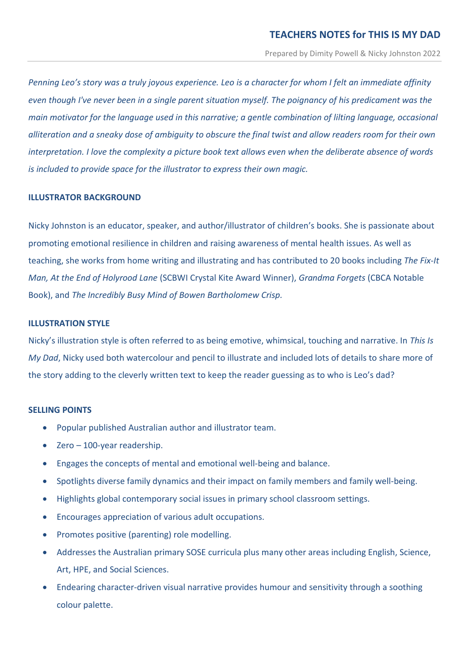*Penning Leo's story was a truly joyous experience. Leo is a character for whom I felt an immediate affinity even though I've never been in a single parent situation myself. The poignancy of his predicament was the main motivator for the language used in this narrative; a gentle combination of lilting language, occasional alliteration and a sneaky dose of ambiguity to obscure the final twist and allow readers room for their own interpretation. I love the complexity a picture book text allows even when the deliberate absence of words is included to provide space for the illustrator to express their own magic.* 

### **ILLUSTRATOR BACKGROUND**

Nicky Johnston is an educator, speaker, and author/illustrator of children's books. She is passionate about promoting emotional resilience in children and raising awareness of mental health issues. As well as teaching, she works from home writing and illustrating and has contributed to 20 books including *The Fix-It Man, At the End of Holyrood Lane* (SCBWI Crystal Kite Award Winner), *Grandma Forgets* (CBCA Notable Book), and *The Incredibly Busy Mind of Bowen Bartholomew Crisp.*

## **ILLUSTRATION STYLE**

Nicky's illustration style is often referred to as being emotive, whimsical, touching and narrative. In *This Is My Dad*, Nicky used both watercolour and pencil to illustrate and included lots of details to share more of the story adding to the cleverly written text to keep the reader guessing as to who is Leo's dad?

### **SELLING POINTS**

- Popular published Australian author and illustrator team.
- Zero 100-year readership.
- Engages the concepts of mental and emotional well-being and balance.
- Spotlights diverse family dynamics and their impact on family members and family well-being.
- Highlights global contemporary social issues in primary school classroom settings.
- Encourages appreciation of various adult occupations.
- Promotes positive (parenting) role modelling.
- Addresses the Australian primary SOSE curricula plus many other areas including English, Science, Art, HPE, and Social Sciences.
- Endearing character-driven visual narrative provides humour and sensitivity through a soothing colour palette.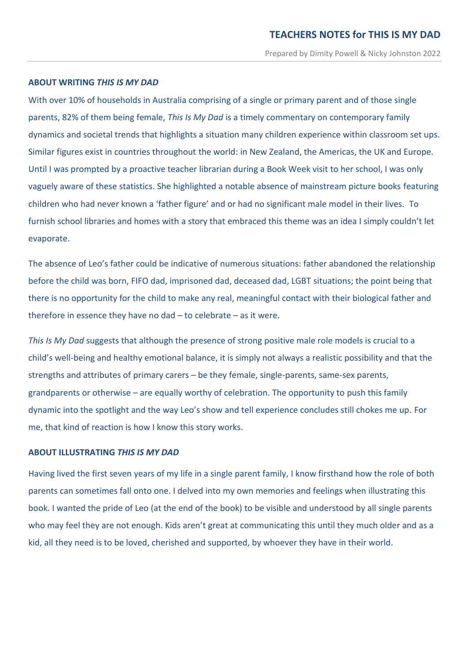### **ABOUT WRITING** *THIS IS MY DAD*

With over 10% of households in Australia comprising of a single or primary parent and of those single parents, 82% of them being female, *This Is My Dad* is a timely commentary on contemporary family dynamics and societal trends that highlights a situation many children experience within classroom set ups. Similar figures exist in countries throughout the world: in New Zealand, the Americas, the UK and Europe. Until I was prompted by a proactive teacher librarian during a Book Week visit to her school, I was only vaguely aware of these statistics. She highlighted a notable absence of mainstream picture books featuring children who had never known a 'father figure' and or had no significant male model in their lives. To furnish school libraries and homes with a story that embraced this theme was an idea I simply couldn't let evaporate.

The absence of Leo's father could be indicative of numerous situations: father abandoned the relationship before the child was born, FIFO dad, imprisoned dad, deceased dad, LGBT situations; the point being that there is no opportunity for the child to make any real, meaningful contact with their biological father and therefore in essence they have no dad – to celebrate – as it were.

*This Is My Dad* suggests that although the presence of strong positive male role models is crucial to a child's well-being and healthy emotional balance, it is simply not always a realistic possibility and that the strengths and attributes of primary carers – be they female, single-parents, same-sex parents, grandparents or otherwise – are equally worthy of celebration. The opportunity to push this family dynamic into the spotlight and the way Leo's show and tell experience concludes still chokes me up. For me, that kind of reaction is how I know this story works.

#### **ABOUT ILLUSTRATING** *THIS IS MY DAD*

Having lived the first seven years of my life in a single parent family, I know firsthand how the role of both parents can sometimes fall onto one. I delved into my own memories and feelings when illustrating this book. I wanted the pride of Leo (at the end of the book) to be visible and understood by all single parents who may feel they are not enough. Kids aren't great at communicating this until they much older and as a kid, all they need is to be loved, cherished and supported, by whoever they have in their world.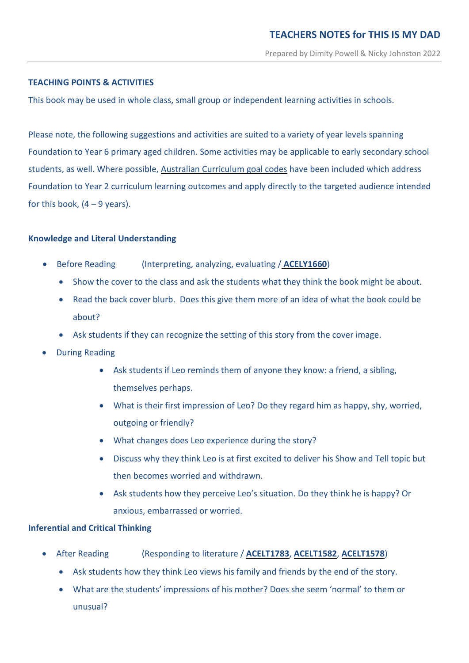## **TEACHING POINTS & ACTIVITIES**

This book may be used in whole class, small group or independent learning activities in schools.

Please note, the following suggestions and activities are suited to a variety of year levels spanning Foundation to Year 6 primary aged children. Some activities may be applicable to early secondary school students, as well. Where possible, Australian [Curriculum](http://www.australiancurriculum.edu.au/) goal codes have been included which address Foundation to Year 2 curriculum learning outcomes and apply directly to the targeted audience intended for this book,  $(4 - 9$  years).

### **Knowledge and Literal Understanding**

- Before Reading (Interpreting, analyzing, evaluating / **[ACELY1660](https://www.australiancurriculum.edu.au/Search/?q=ACELY1660)**)
	- Show the cover to the class and ask the students what they think the book might be about.
	- Read the back cover blurb. Does this give them more of an idea of what the book could be about?
	- Ask students if they can recognize the setting of this story from the cover image.
- During Reading
	- Ask students if Leo reminds them of anyone they know: a friend, a sibling, themselves perhaps.
	- What is their first impression of Leo? Do they regard him as happy, shy, worried, outgoing or friendly?
	- What changes does Leo experience during the story?
	- Discuss why they think Leo is at first excited to deliver his Show and Tell topic but then becomes worried and withdrawn.
	- Ask students how they perceive Leo's situation. Do they think he is happy? Or anxious, embarrassed or worried.

### **Inferential and Critical Thinking**

- After Reading (Responding to literature / **[ACELT1783](http://www.scootle.edu.au/ec/search?accContentId=ACELT1783)**, **[ACELT1582](http://www.scootle.edu.au/ec/search?q=ACELT1582&field=title&field=text.all&field=topic)**, **[ACELT1578](http://www.scootle.edu.au/ec/search?q=ACELT1578&field=title&field=text.all&field=topic)**)
	- Ask students how they think Leo views his family and friends by the end of the story.
	- What are the students' impressions of his mother? Does she seem 'normal' to them or unusual?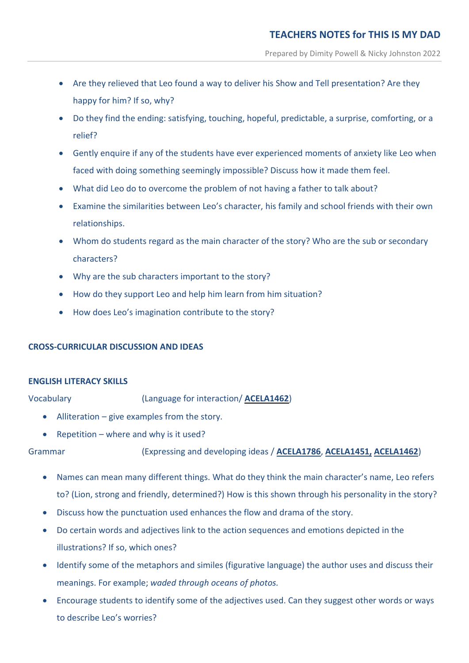- Are they relieved that Leo found a way to deliver his Show and Tell presentation? Are they happy for him? If so, why?
- Do they find the ending: satisfying, touching, hopeful, predictable, a surprise, comforting, or a relief?
- Gently enquire if any of the students have ever experienced moments of anxiety like Leo when faced with doing something seemingly impossible? Discuss how it made them feel.
- What did Leo do to overcome the problem of not having a father to talk about?
- Examine the similarities between Leo's character, his family and school friends with their own relationships.
- Whom do students regard as the main character of the story? Who are the sub or secondary characters?
- Why are the sub characters important to the story?
- How do they support Leo and help him learn from him situation?
- How does Leo's imagination contribute to the story?

## **CROSS-CURRICULAR DISCUSSION AND IDEAS**

### **ENGLISH LITERACY SKILLS**

Vocabulary (Language for interaction/ **[ACELA1462](http://www.scootle.edu.au/ec/search?q=ACELA1462&field=title&field=text.all&field=topic)**)

- Alliteration give examples from the story.
- Repetition where and why is it used?

Grammar (Expressing and developing ideas / **[ACELA1786](http://www.scootle.edu.au/ec/search?q=ACELA1786&field=title&field=text.all&field=topic)**, **[ACELA1451,](http://www.scootle.edu.au/ec/search?q=ACELA1451&field=title&field=text.all&field=topic) [ACELA1462](http://www.scootle.edu.au/ec/search?q=ACELA1462&field=title&field=text.all&field=topic)**)

- Names can mean many different things. What do they think the main character's name, Leo refers to? (Lion, strong and friendly, determined?) How is this shown through his personality in the story?
- Discuss how the punctuation used enhances the flow and drama of the story.
- Do certain words and adjectives link to the action sequences and emotions depicted in the illustrations? If so, which ones?
- Identify some of the metaphors and similes (figurative language) the author uses and discuss their meanings. For example; *waded through oceans of photos.*
- Encourage students to identify some of the adjectives used. Can they suggest other words or ways to describe Leo's worries?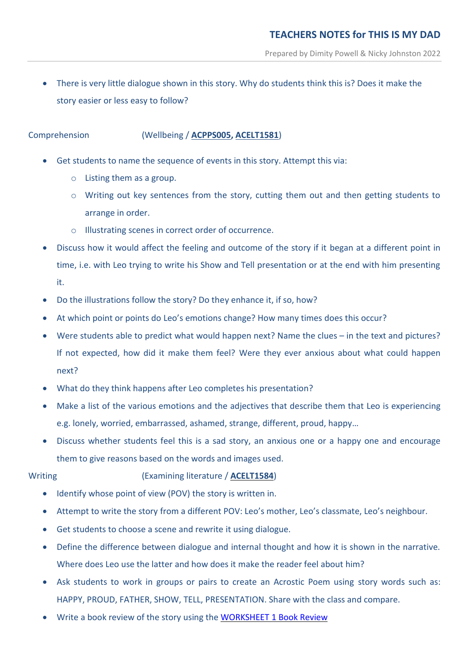There is very little dialogue shown in this story. Why do students think this is? Does it make the story easier or less easy to follow?

## Comprehension (Wellbeing / **[ACPPS005,](https://www.australiancurriculum.edu.au/Search/?q=ACPPS005) [ACELT1581](https://www.australiancurriculum.edu.au/Search/?q=ACELT1581)**)

- Get students to name the sequence of events in this story. Attempt this via:
	- o Listing them as a group.
	- o Writing out key sentences from the story, cutting them out and then getting students to arrange in order.
	- o Illustrating scenes in correct order of occurrence.
- Discuss how it would affect the feeling and outcome of the story if it began at a different point in time, i.e. with Leo trying to write his Show and Tell presentation or at the end with him presenting it.
- Do the illustrations follow the story? Do they enhance it, if so, how?
- At which point or points do Leo's emotions change? How many times does this occur?
- Were students able to predict what would happen next? Name the clues in the text and pictures? If not expected, how did it make them feel? Were they ever anxious about what could happen next?
- What do they think happens after Leo completes his presentation?
- Make a list of the various emotions and the adjectives that describe them that Leo is experiencing e.g. lonely, worried, embarrassed, ashamed, strange, different, proud, happy…
- Discuss whether students feel this is a sad story, an anxious one or a happy one and encourage them to give reasons based on the words and images used.

## Writing (Examining literature / **[ACELT1584](http://www.scootle.edu.au/ec/search?q=ACELT1584&field=title&field=text.all&field=topic)**)

- Identify whose point of view (POV) the story is written in.
- Attempt to write the story from a different POV: Leo's mother, Leo's classmate, Leo's neighbour.
- Get students to choose a scene and rewrite it using dialogue.
- Define the difference between dialogue and internal thought and how it is shown in the narrative. Where does Leo use the latter and how does it make the reader feel about him?
- Ask students to work in groups or pairs to create an Acrostic Poem using story words such as: HAPPY, PROUD, FATHER, SHOW, TELL, PRESENTATION. Share with the class and compare.
- Write a book review of the story using the [WORKSHEET 1 Book Review](https://dimitypowell.com/wp-content/uploads/2021/07/Book-Review-Worksheet-1-TIMD.pdf)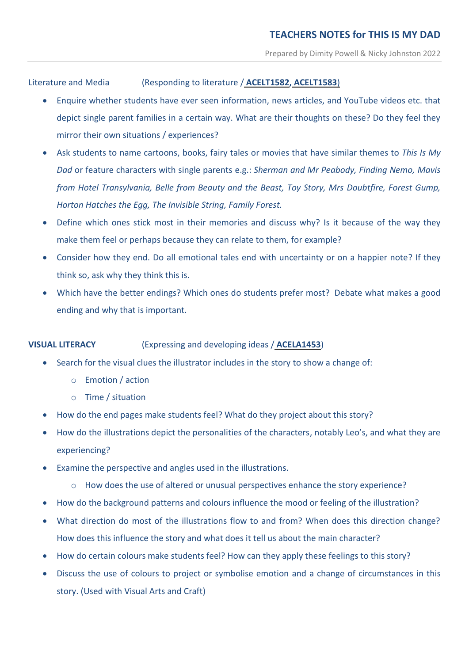Literature and Media (Responding to literature / **[ACELT1582,](http://www.scootle.edu.au/ec/search?q=ACELT1582&field=title&field=text.all&field=topic) [ACELT1583](http://www.scootle.edu.au/ec/search?q=+ACELT1583&field=title&field=text.all&field=topic)**)

- Enquire whether students have ever seen information, news articles, and YouTube videos etc. that depict single parent families in a certain way. What are their thoughts on these? Do they feel they mirror their own situations / experiences?
- Ask students to name cartoons, books, fairy tales or movies that have similar themes to *This Is My Dad* or feature characters with single parents e.g.: *Sherman and Mr Peabody, Finding Nemo, Mavis from Hotel Transylvania, Belle from Beauty and the Beast, Toy Story, Mrs Doubtfire, Forest Gump, Horton Hatches the Egg, The Invisible String, Family Forest.*
- Define which ones stick most in their memories and discuss why? Is it because of the way they make them feel or perhaps because they can relate to them, for example?
- Consider how they end. Do all emotional tales end with uncertainty or on a happier note? If they think so, ask why they think this is.
- Which have the better endings? Which ones do students prefer most? Debate what makes a good ending and why that is important.

## **VISUAL LITERACY** (Expressing and developing ideas / **[ACELA1453](http://www.scootle.edu.au/ec/search?q=ACELA1453&field=title&field=text.all&field=topic)**)

- Search for the visual clues the illustrator includes in the story to show a change of:
	- o Emotion / action
	- o Time / situation
- How do the end pages make students feel? What do they project about this story?
- How do the illustrations depict the personalities of the characters, notably Leo's, and what they are experiencing?
- Examine the perspective and angles used in the illustrations.
	- o How does the use of altered or unusual perspectives enhance the story experience?
- How do the background patterns and colours influence the mood or feeling of the illustration?
- What direction do most of the illustrations flow to and from? When does this direction change? How does this influence the story and what does it tell us about the main character?
- How do certain colours make students feel? How can they apply these feelings to this story?
- Discuss the use of colours to project or symbolise emotion and a change of circumstances in this story. (Used with Visual Arts and Craft)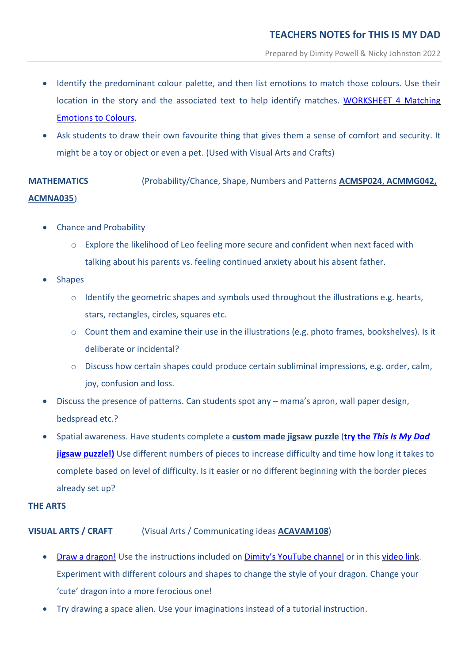- Identify the predominant colour palette, and then list emotions to match those colours. Use their location in the story and the associated text to help identify matches. [WORKSHEET 4](https://dimitypowell.com/wp-content/uploads/2021/07/Colours-Match-Emotions-Worksheet-4-TIMD.pdf) Matching [Emotions to Colours.](https://dimitypowell.com/wp-content/uploads/2021/07/Colours-Match-Emotions-Worksheet-4-TIMD.pdf)
- Ask students to draw their own favourite thing that gives them a sense of comfort and security. It might be a toy or object or even a pet. (Used with Visual Arts and Crafts)

**MATHEMATICS** (Probability/Chance, Shape, Numbers and Patterns **[ACMSP024](http://www.scootle.edu.au/ec/search?accContentId=ACMSP024&learningarea=%22Mathematics%22&userlevel=%281%29)**, **[ACMMG042,](http://www.scootle.edu.au/ec/search?accContentId=ACMMG042&learningarea=%22Mathematics%22&userlevel=%282%29) [ACMNA035](http://www.scootle.edu.au/ec/search?accContentId=ACMNA035&learningarea=%22Mathematics%22&userlevel=%282%29)**)

- Chance and Probability
	- o Explore the likelihood of Leo feeling more secure and confident when next faced with talking about his parents vs. feeling continued anxiety about his absent father.
- Shapes
	- o Identify the geometric shapes and symbols used throughout the illustrations e.g. hearts, stars, rectangles, circles, squares etc.
	- o Count them and examine their use in the illustrations (e.g. photo frames, bookshelves). Is it deliberate or incidental?
	- o Discuss how certain shapes could produce certain subliminal impressions, e.g. order, calm, joy, confusion and loss.
- Discuss the presence of patterns. Can students spot any mama's apron, wall paper design, bedspread etc.?
- Spatial awareness. Have students complete a **[custom](https://dimitypowell.com/virtual-jigsaw-puzzles/) made jigsaw puzzle** (**try the** *This Is My [Dad](https://www.jigsawexplorer.com/online-jigsaw-puzzle-player.html?url=aHR0cHM6Ly9pMS53cC5jb20vZGltaXR5cG93ZWxsLmNvbS93cC1jb250ZW50L3VwbG9hZHMvMjAyMS8wOS9UaGlzLUlzLU15LURhZC1zdWJ0aXRsZS1WLmpwZz9zc2w9MQ~~&cred=VGhpcyBJcyBNeSBEYWQgcGljdHVyZSBib29rIGJ5IERpbWl0eSBQb3dlbGwgYW5kIE5pY2t5IEpvaG5zdG9u&credu=aHR0cHM6Ly9kaW1pdHlwb3dlbGwuY29tL3ZpcnR1YWwtamlnc2F3LXB1enpsZXMv&nop=100&color=coral)* **jigsaw [puzzle!\)](https://www.jigsawexplorer.com/online-jigsaw-puzzle-player.html?url=aHR0cHM6Ly9pMS53cC5jb20vZGltaXR5cG93ZWxsLmNvbS93cC1jb250ZW50L3VwbG9hZHMvMjAyMS8wOS9UaGlzLUlzLU15LURhZC1zdWJ0aXRsZS1WLmpwZz9zc2w9MQ~~&cred=VGhpcyBJcyBNeSBEYWQgcGljdHVyZSBib29rIGJ5IERpbWl0eSBQb3dlbGwgYW5kIE5pY2t5IEpvaG5zdG9u&credu=aHR0cHM6Ly9kaW1pdHlwb3dlbGwuY29tL3ZpcnR1YWwtamlnc2F3LXB1enpsZXMv&nop=100&color=coral)** Use different numbers of pieces to increase difficulty and time how long it takes to complete based on level of difficulty. Is it easier or no different beginning with the border pieces already set up?

## **THE ARTS**

## **VISUAL ARTS / CRAFT** (Visual Arts / Communicating ideas **[ACAVAM108](https://www.australiancurriculum.edu.au/f-10-curriculum/the-arts/visual-arts/?year=12755&capability=ignore&capability=Literacy&capability=Numeracy&capability=Information+and+Communication+Technology+%28ICT%29+Capability&capability=Critical+and+Creative+Thinking&capability=Personal+and+Social+Capability&capability=Ethical+Understanding&capability=Intercultural+Understanding&priority=ignore&priority=Aboriginal+and+Torres+Strait+Islander+Histories+and+Cultures&priority=Asia+and+Australia%E2%80%99s+Engagement+with+Asia&priority=Sustainability&elaborations=true&elaborations=false&scotterms=false&isFirstPageLoad=false#cdcode=ACAVAM108&level=F-2)**)

- Draw a [dragon!](https://www.youtube.com/watch?v=Lw3ZKies7GQ&t=40s) Use the instructions included on Dimity's [YouTube](https://www.youtube.com/channel/UCFgJLJu4WVjGP7W_2HfJf6g?view_as=subscriber) channel or in this [video](https://www.youtube.com/watch?v=Lw3ZKies7GQ&t=40s) link. Experiment with different colours and shapes to change the style of your dragon. Change your 'cute' dragon into a more ferocious one!
- Try drawing a space alien. Use your imaginations instead of a tutorial instruction.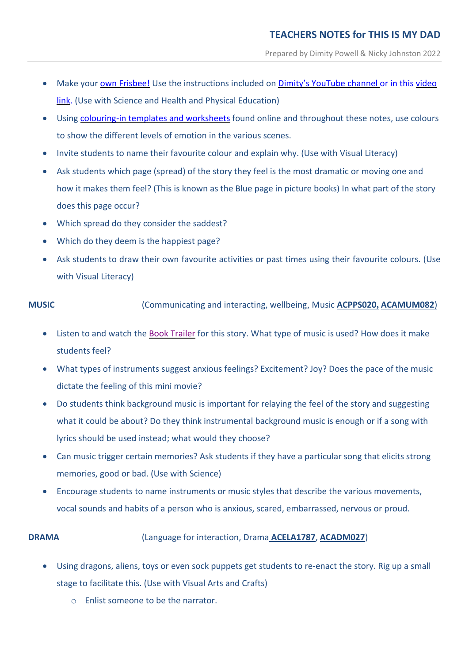- Make your own [Frisbee!](https://www.youtube.com/watch?v=nOza8x7Y1t8&list=LL&index=7) Use the instructions included on Dimity's [YouTube](https://www.youtube.com/channel/UCFgJLJu4WVjGP7W_2HfJf6g?view_as=subscriber) channel or in this [video](https://www.youtube.com/watch?v=nOza8x7Y1t8&list=LL&index=7) [link.](https://www.youtube.com/watch?v=nOza8x7Y1t8&list=LL&index=7) (Use with Science and Health and Physical Education)
- Using [colouring-in](https://dimitypowell.com/this-is-my-dad-downloadable-fun/) templates and worksheets found online and throughout these notes, use colours to show the different levels of emotion in the various scenes.
- Invite students to name their favourite colour and explain why. (Use with Visual Literacy)
- Ask students which page (spread) of the story they feel is the most dramatic or moving one and how it makes them feel? (This is known as the Blue page in picture books) In what part of the story does this page occur?
- Which spread do they consider the saddest?
- Which do they deem is the happiest page?
- Ask students to draw their own favourite activities or past times using their favourite colours. (Use with Visual Literacy)

**MUSIC** (Communicating and interacting, wellbeing, Music **[ACPPS020](https://www.australiancurriculum.edu.au/f-10-curriculum/health-and-physical-education/?year=12994&strand=Personal%2C+Social+and+Community+Health&strand=Movement+and+Physical+Activity&capability=ignore&capability=Literacy&capability=Numeracy&capability=Information+and+Communication+Technology+%28ICT%29+Capability&capability=Critical+and+Creative+Thinking&capability=Personal+and+Social+Capability&capability=Ethical+Understanding&capability=Intercultural+Understanding&priority=ignore&priority=Aboriginal+and+Torres+Strait+Islander+Histories+and+Cultures&priority=Asia+and+Australia%E2%80%99s+Engagement+with+Asia&priority=Sustainability&elaborations=true&elaborations=false&scotterms=false&isFirstPageLoad=false#cdcode=ACPPS020&level=1-2), [ACAMUM082](http://www.scootle.edu.au/ec/search?accContentId=ACAMUM082)**)

- Listen to and watch the Book [Trailer](https://www.youtube.com/watch?v=NgWxDgJnHpY) for this story. What type of music is used? How does it make students feel?
- What types of instruments suggest anxious feelings? Excitement? Joy? Does the pace of the music dictate the feeling of this mini movie?
- Do students think background music is important for relaying the feel of the story and suggesting what it could be about? Do they think instrumental background music is enough or if a song with lyrics should be used instead; what would they choose?
- Can music trigger certain memories? Ask students if they have a particular song that elicits strong memories, good or bad. (Use with Science)
- Encourage students to name instruments or music styles that describe the various movements, vocal sounds and habits of a person who is anxious, scared, embarrassed, nervous or proud.

## **DRAMA** (Language for interaction, Drama **[ACELA1787](https://www.australiancurriculum.edu.au/Search/?q=ACELA1787)**, **[ACADM027](http://www.scootle.edu.au/ec/search?accContentId=ACADRM027)**)

- Using dragons, aliens, toys or even sock puppets get students to re-enact the story. Rig up a small stage to facilitate this. (Use with Visual Arts and Crafts)
	- o Enlist someone to be the narrator.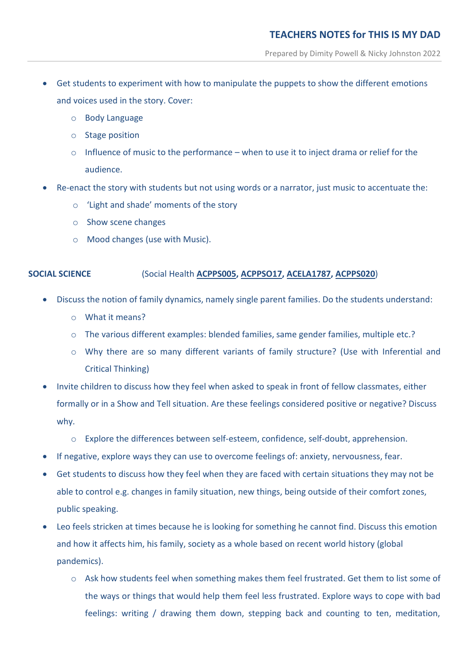- Get students to experiment with how to manipulate the puppets to show the different emotions and voices used in the story. Cover:
	- o Body Language
	- o Stage position
	- o Influence of music to the performance when to use it to inject drama or relief for the audience.
- Re-enact the story with students but not using words or a narrator, just music to accentuate the:
	- o 'Light and shade' moments of the story
	- o Show scene changes
	- o Mood changes (use with Music).

## **SOCIAL SCIENCE** (Social Health **[ACPPS005,](https://www.australiancurriculum.edu.au/Search/?q=ACPPS005) [ACPPSO17,](https://www.australiancurriculum.edu.au/Search/?q=ACPPS017) [ACELA1787,](https://www.australiancurriculum.edu.au/Search/?q=ACELA1787) [ACPPS020](https://www.australiancurriculum.edu.au/f-10-curriculum/health-and-physical-education/?year=12994&strand=Personal%2C+Social+and+Community+Health&strand=Movement+and+Physical+Activity&capability=ignore&capability=Literacy&capability=Numeracy&capability=Information+and+Communication+Technology+%28ICT%29+Capability&capability=Critical+and+Creative+Thinking&capability=Personal+and+Social+Capability&capability=Ethical+Understanding&capability=Intercultural+Understanding&priority=ignore&priority=Aboriginal+and+Torres+Strait+Islander+Histories+and+Cultures&priority=Asia+and+Australia%E2%80%99s+Engagement+with+Asia&priority=Sustainability&elaborations=true&elaborations=false&scotterms=false&isFirstPageLoad=false#cdcode=ACPPS020&level=1-2)**)

- Discuss the notion of family dynamics, namely single parent families. Do the students understand:
	- o What it means?
	- o The various different examples: blended families, same gender families, multiple etc.?
	- o Why there are so many different variants of family structure? (Use with Inferential and Critical Thinking)
- Invite children to discuss how they feel when asked to speak in front of fellow classmates, either formally or in a Show and Tell situation. Are these feelings considered positive or negative? Discuss why.
	- o Explore the differences between self-esteem, confidence, self-doubt, apprehension.
- If negative, explore ways they can use to overcome feelings of: anxiety, nervousness, fear.
- Get students to discuss how they feel when they are faced with certain situations they may not be able to control e.g. changes in family situation, new things, being outside of their comfort zones, public speaking.
- Leo feels stricken at times because he is looking for something he cannot find. Discuss this emotion and how it affects him, his family, society as a whole based on recent world history (global pandemics).
	- o Ask how students feel when something makes them feel frustrated. Get them to list some of the ways or things that would help them feel less frustrated. Explore ways to cope with bad feelings: writing / drawing them down, stepping back and counting to ten, meditation,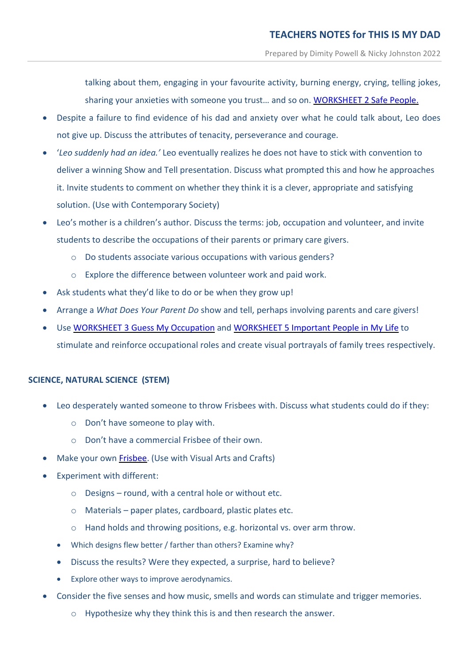talking about them, engaging in your favourite activity, burning energy, crying, telling jokes, sharing your anxieties with someone you trust… and so on. [WORKSHEET 2 Safe People.](https://dimitypowell.com/wp-content/uploads/2021/07/Safe-People-Worksheet-2-TIMD.pdf)

- Despite a failure to find evidence of his dad and anxiety over what he could talk about, Leo does not give up. Discuss the attributes of tenacity, perseverance and courage.
- '*Leo suddenly had an idea.'* Leo eventually realizes he does not have to stick with convention to deliver a winning Show and Tell presentation. Discuss what prompted this and how he approaches it. Invite students to comment on whether they think it is a clever, appropriate and satisfying solution. (Use with Contemporary Society)
- Leo's mother is a children's author. Discuss the terms: job, occupation and volunteer, and invite students to describe the occupations of their parents or primary care givers.
	- o Do students associate various occupations with various genders?
	- o Explore the difference between volunteer work and paid work.
- Ask students what they'd like to do or be when they grow up!
- Arrange a *What Does Your Parent Do* show and tell, perhaps involving parents and care givers!
- Use [WORKSHEET](https://dimitypowell.com/wp-content/uploads/2021/07/Guess-My-Occupation-Worksheet-3-TIMD-.pdf) 3 Guess My Occupation and [WORKSHEET](https://dimitypowell.com/wp-content/uploads/2021/07/Important-People-Tree-Worksheet-5-TIMD.pdf) 5 Important People in My Life to stimulate and reinforce occupational roles and create visual portrayals of family trees respectively.

## **SCIENCE, NATURAL SCIENCE (STEM)**

- Leo desperately wanted someone to throw Frisbees with. Discuss what students could do if they:
	- o Don't have someone to play with.
	- o Don't have a commercial Frisbee of their own.
- Make your own [Frisbee.](https://www.youtube.com/watch?v=nOza8x7Y1t8&list=LL&index=8) (Use with Visual Arts and Crafts)
- Experiment with different:
	- o Designs round, with a central hole or without etc.
	- o Materials paper plates, cardboard, plastic plates etc.
	- o Hand holds and throwing positions, e.g. horizontal vs. over arm throw.
	- Which designs flew better / farther than others? Examine why?
	- Discuss the results? Were they expected, a surprise, hard to believe?
	- Explore other ways to improve aerodynamics.
- Consider the five senses and how music, smells and words can stimulate and trigger memories.
	- o Hypothesize why they think this is and then research the answer.